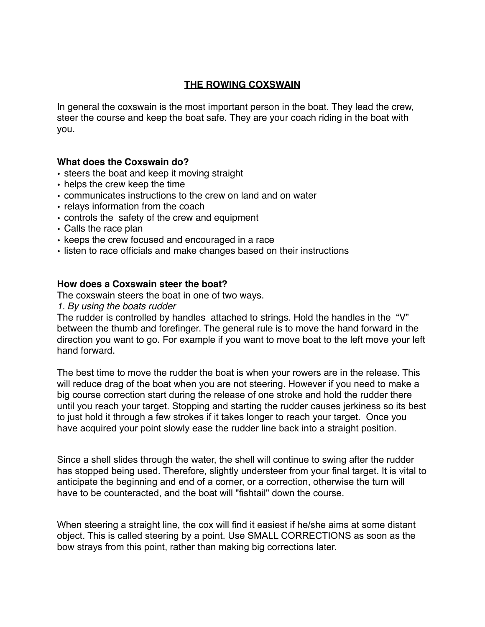# **THE ROWING COXSWAIN**

In general the coxswain is the most important person in the boat. They lead the crew, steer the course and keep the boat safe. They are your coach riding in the boat with you.

#### **What does the Coxswain do?**

- steers the boat and keep it moving straight
- helps the crew keep the time
- communicates instructions to the crew on land and on water
- relays information from the coach
- controls the safety of the crew and equipment
- Calls the race plan
- keeps the crew focused and encouraged in a race
- listen to race officials and make changes based on their instructions

#### **How does a Coxswain steer the boat?**

The coxswain steers the boat in one of two ways.

*1. By using the boats rudder*

The rudder is controlled by handles attached to strings. Hold the handles in the "V" between the thumb and forefinger. The general rule is to move the hand forward in the direction you want to go. For example if you want to move boat to the left move your left hand forward.

The best time to move the rudder the boat is when your rowers are in the release. This will reduce drag of the boat when you are not steering. However if you need to make a big course correction start during the release of one stroke and hold the rudder there until you reach your target. Stopping and starting the rudder causes jerkiness so its best to just hold it through a few strokes if it takes longer to reach your target. Once you have acquired your point slowly ease the rudder line back into a straight position.

Since a shell slides through the water, the shell will continue to swing after the rudder has stopped being used. Therefore, slightly understeer from your final target. It is vital to anticipate the beginning and end of a corner, or a correction, otherwise the turn will have to be counteracted, and the boat will "fishtail" down the course.

When steering a straight line, the cox will find it easiest if he/she aims at some distant object. This is called steering by a point. Use SMALL CORRECTIONS as soon as the bow strays from this point, rather than making big corrections later.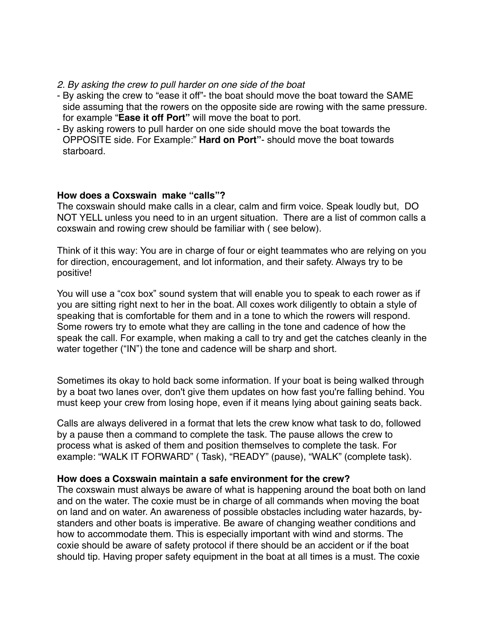#### *2. By asking the crew to pull harder on one side of the boat*

- By asking the crew to "ease it off"- the boat should move the boat toward the SAME side assuming that the rowers on the opposite side are rowing with the same pressure. for example "**Ease it off Port"** will move the boat to port.
- By asking rowers to pull harder on one side should move the boat towards the OPPOSITE side. For Example:" **Hard on Port"**- should move the boat towards starboard.

#### **How does a Coxswain make "calls"?**

The coxswain should make calls in a clear, calm and firm voice. Speak loudly but, DO NOT YELL unless you need to in an urgent situation. There are a list of common calls a coxswain and rowing crew should be familiar with ( see below).

Think of it this way: You are in charge of four or eight teammates who are relying on you for direction, encouragement, and lot information, and their safety. Always try to be positive!

You will use a "cox box" sound system that will enable you to speak to each rower as if you are sitting right next to her in the boat. All coxes work diligently to obtain a style of speaking that is comfortable for them and in a tone to which the rowers will respond. Some rowers try to emote what they are calling in the tone and cadence of how the speak the call. For example, when making a call to try and get the catches cleanly in the water together ("IN") the tone and cadence will be sharp and short.

Sometimes its okay to hold back some information. If your boat is being walked through by a boat two lanes over, don't give them updates on how fast you're falling behind. You must keep your crew from losing hope, even if it means lying about gaining seats back.

Calls are always delivered in a format that lets the crew know what task to do, followed by a pause then a command to complete the task. The pause allows the crew to process what is asked of them and position themselves to complete the task. For example: "WALK IT FORWARD" ( Task), "READY" (pause), "WALK" (complete task).

#### **How does a Coxswain maintain a safe environment for the crew?**

The coxswain must always be aware of what is happening around the boat both on land and on the water. The coxie must be in charge of all commands when moving the boat on land and on water. An awareness of possible obstacles including water hazards, bystanders and other boats is imperative. Be aware of changing weather conditions and how to accommodate them. This is especially important with wind and storms. The coxie should be aware of safety protocol if there should be an accident or if the boat should tip. Having proper safety equipment in the boat at all times is a must. The coxie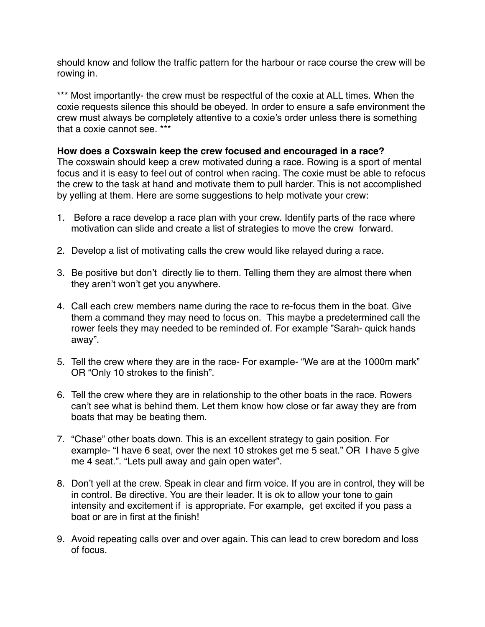should know and follow the traffic pattern for the harbour or race course the crew will be rowing in.

\*\*\* Most importantly- the crew must be respectful of the coxie at ALL times. When the coxie requests silence this should be obeyed. In order to ensure a safe environment the crew must always be completely attentive to a coxie's order unless there is something that a coxie cannot see. \*\*\*

#### **How does a Coxswain keep the crew focused and encouraged in a race?**

The coxswain should keep a crew motivated during a race. Rowing is a sport of mental focus and it is easy to feel out of control when racing. The coxie must be able to refocus the crew to the task at hand and motivate them to pull harder. This is not accomplished by yelling at them. Here are some suggestions to help motivate your crew:

- 1. Before a race develop a race plan with your crew. Identify parts of the race where motivation can slide and create a list of strategies to move the crew forward.
- 2. Develop a list of motivating calls the crew would like relayed during a race.
- 3. Be positive but don't directly lie to them. Telling them they are almost there when they aren't won't get you anywhere.
- 4. Call each crew members name during the race to re-focus them in the boat. Give them a command they may need to focus on. This maybe a predetermined call the rower feels they may needed to be reminded of. For example "Sarah- quick hands away".
- 5. Tell the crew where they are in the race- For example- "We are at the 1000m mark" OR "Only 10 strokes to the finish".
- 6. Tell the crew where they are in relationship to the other boats in the race. Rowers can't see what is behind them. Let them know how close or far away they are from boats that may be beating them.
- 7. "Chase" other boats down. This is an excellent strategy to gain position. For example- "I have 6 seat, over the next 10 strokes get me 5 seat." OR I have 5 give me 4 seat.". "Lets pull away and gain open water".
- 8. Don't yell at the crew. Speak in clear and firm voice. If you are in control, they will be in control. Be directive. You are their leader. It is ok to allow your tone to gain intensity and excitement if is appropriate. For example, get excited if you pass a boat or are in first at the finish!
- 9. Avoid repeating calls over and over again. This can lead to crew boredom and loss of focus.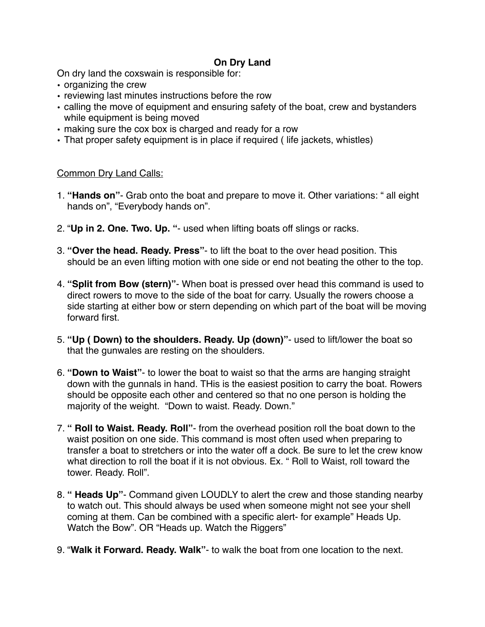# **On Dry Land**

On dry land the coxswain is responsible for:

- organizing the crew
- reviewing last minutes instructions before the row
- calling the move of equipment and ensuring safety of the boat, crew and bystanders while equipment is being moved
- making sure the cox box is charged and ready for a row
- That proper safety equipment is in place if required ( life jackets, whistles)

#### Common Dry Land Calls:

- 1. **"Hands on"** Grab onto the boat and prepare to move it. Other variations: " all eight hands on", "Everybody hands on".
- 2. "**Up in 2. One. Two. Up. "** used when lifting boats off slings or racks.
- 3. **"Over the head. Ready. Press"** to lift the boat to the over head position. This should be an even lifting motion with one side or end not beating the other to the top.
- 4. **"Split from Bow (stern)"** When boat is pressed over head this command is used to direct rowers to move to the side of the boat for carry. Usually the rowers choose a side starting at either bow or stern depending on which part of the boat will be moving forward first.
- 5. **"Up ( Down) to the shoulders. Ready. Up (down)"** used to lift/lower the boat so that the gunwales are resting on the shoulders.
- 6. **"Down to Waist"** to lower the boat to waist so that the arms are hanging straight down with the gunnals in hand. THis is the easiest position to carry the boat. Rowers should be opposite each other and centered so that no one person is holding the majority of the weight. "Down to waist. Ready. Down."
- 7. **" Roll to Waist. Ready. Roll"** from the overhead position roll the boat down to the waist position on one side. This command is most often used when preparing to transfer a boat to stretchers or into the water off a dock. Be sure to let the crew know what direction to roll the boat if it is not obvious. Ex. " Roll to Waist, roll toward the tower. Ready. Roll".
- 8. **" Heads Up"** Command given LOUDLY to alert the crew and those standing nearby to watch out. This should always be used when someone might not see your shell coming at them. Can be combined with a specific alert- for example" Heads Up. Watch the Bow". OR "Heads up. Watch the Riggers"
- 9. "**Walk it Forward. Ready. Walk"** to walk the boat from one location to the next.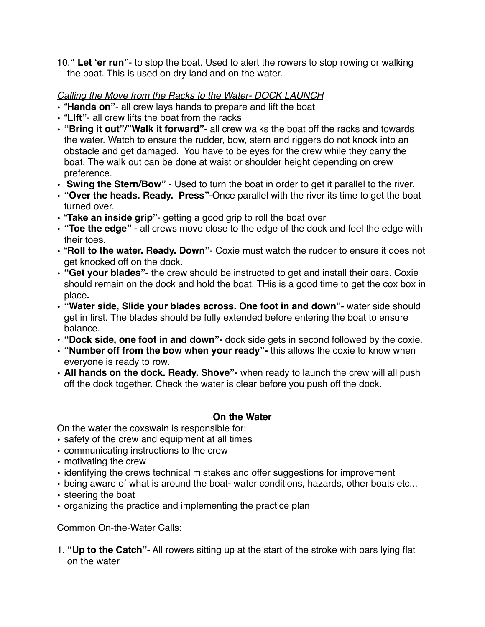10.**" Let 'er run"**- to stop the boat. Used to alert the rowers to stop rowing or walking the boat. This is used on dry land and on the water.

# *Calling the Move from the Racks to the Water- DOCK LAUNCH*

- "**Hands on"** all crew lays hands to prepare and lift the boat
- "**LIft"** all crew lifts the boat from the racks
- **"Bring it out"/"Walk it forward"** all crew walks the boat off the racks and towards the water. Watch to ensure the rudder, bow, stern and riggers do not knock into an obstacle and get damaged. You have to be eyes for the crew while they carry the boat. The walk out can be done at waist or shoulder height depending on crew preference.
- **Swing the Stern/Bow"** Used to turn the boat in order to get it parallel to the river.
- **"Over the heads. Ready. Press"**-Once parallel with the river its time to get the boat turned over.
- "**Take an inside grip"** getting a good grip to roll the boat over
- **"Toe the edge"** all crews move close to the edge of the dock and feel the edge with their toes.
- "**Roll to the water. Ready. Down"** Coxie must watch the rudder to ensure it does not get knocked off on the dock.
- **• "Get your blades"-** the crew should be instructed to get and install their oars. Coxie should remain on the dock and hold the boat. THis is a good time to get the cox box in place**.**
- **• "Water side, Slide your blades across. One foot in and down"-** water side should get in first. The blades should be fully extended before entering the boat to ensure balance.
- **• "Dock side, one foot in and down"-** dock side gets in second followed by the coxie.
- **• "Number off from the bow when your ready"-** this allows the coxie to know when everyone is ready to row.
- **• All hands on the dock. Ready. Shove"-** when ready to launch the crew will all push off the dock together. Check the water is clear before you push off the dock.

# **On the Water**

On the water the coxswain is responsible for:

- safety of the crew and equipment at all times
- communicating instructions to the crew
- motivating the crew
- identifying the crews technical mistakes and offer suggestions for improvement
- being aware of what is around the boat- water conditions, hazards, other boats etc...
- steering the boat
- organizing the practice and implementing the practice plan

# Common On-the-Water Calls:

1. **"Up to the Catch"**- All rowers sitting up at the start of the stroke with oars lying flat on the water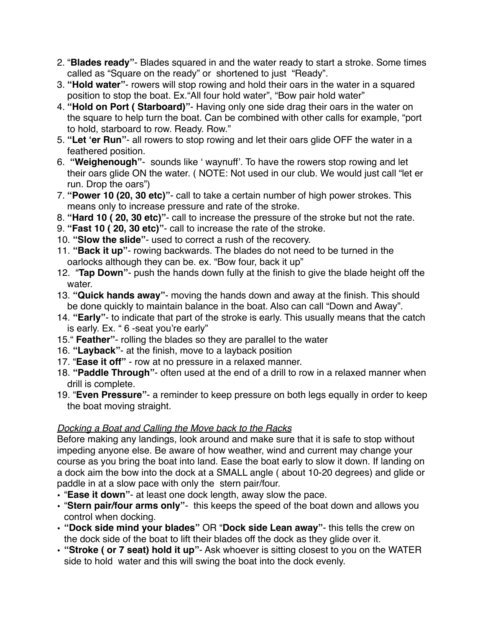- 2. "**Blades ready"** Blades squared in and the water ready to start a stroke. Some times called as "Square on the ready" or shortened to just "Ready".
- 3. **"Hold water"** rowers will stop rowing and hold their oars in the water in a squared position to stop the boat. Ex."All four hold water", "Bow pair hold water"
- 4. **"Hold on Port ( Starboard)"** Having only one side drag their oars in the water on the square to help turn the boat. Can be combined with other calls for example, "port to hold, starboard to row. Ready. Row."
- 5. **"Let 'er Run"** all rowers to stop rowing and let their oars glide OFF the water in a feathered position.
- 6. **"Weighenough"** sounds like ' waynuff'. To have the rowers stop rowing and let their oars glide ON the water. ( NOTE: Not used in our club. We would just call "let er run. Drop the oars")
- 7. **"Power 10 (20, 30 etc)"** call to take a certain number of high power strokes. This means only to increase pressure and rate of the stroke.
- 8. **"Hard 10 ( 20, 30 etc)"** call to increase the pressure of the stroke but not the rate.
- 9. **"Fast 10 ( 20, 30 etc)"** call to increase the rate of the stroke.
- 10. **"Slow the slide"** used to correct a rush of the recovery.
- 11. **"Back it up"** rowing backwards. The blades do not need to be turned in the oarlocks although they can be. ex. "Bow four, back it up"
- 12. "**Tap Down"** push the hands down fully at the finish to give the blade height off the water.
- 13. **"Quick hands away"** moving the hands down and away at the finish. This should be done quickly to maintain balance in the boat. Also can call "Down and Away".
- 14. **"Early"** to indicate that part of the stroke is early. This usually means that the catch is early. Ex. " 6 -seat you're early"
- 15." **Feather"** rolling the blades so they are parallel to the water
- 16. **"Layback"** at the finish, move to a layback position
- 17. "**Ease it off"** row at no pressure in a relaxed manner.
- 18. **"Paddle Through"** often used at the end of a drill to row in a relaxed manner when drill is complete.
- 19. "**Even Pressure"** a reminder to keep pressure on both legs equally in order to keep the boat moving straight.

# *Docking a Boat and Calling the Move back to the Racks*

Before making any landings, look around and make sure that it is safe to stop without impeding anyone else. Be aware of how weather, wind and current may change your course as you bring the boat into land. Ease the boat early to slow it down. If landing on a dock aim the bow into the dock at a SMALL angle ( about 10-20 degrees) and glide or paddle in at a slow pace with only the stern pair/four.

- "**Ease it down"** at least one dock length, away slow the pace.
- "**Stern pair/four arms only"** this keeps the speed of the boat down and allows you control when docking.
- **"Dock side mind your blades"** OR "**Dock side Lean away"** this tells the crew on the dock side of the boat to lift their blades off the dock as they glide over it.
- **"Stroke ( or 7 seat) hold it up"** Ask whoever is sitting closest to you on the WATER side to hold water and this will swing the boat into the dock evenly.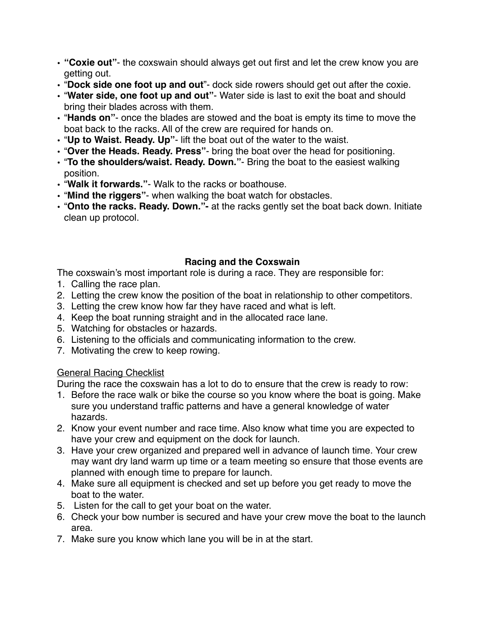- **"Coxie out"** the coxswain should always get out first and let the crew know you are getting out.
- "**Dock side one foot up and out**"- dock side rowers should get out after the coxie.
- "**Water side, one foot up and out"** Water side is last to exit the boat and should bring their blades across with them.
- "**Hands on"** once the blades are stowed and the boat is empty its time to move the boat back to the racks. All of the crew are required for hands on.
- "**Up to Waist. Ready. Up"** lift the boat out of the water to the waist.
- "**Over the Heads. Ready. Press"** bring the boat over the head for positioning.
- "**To the shoulders/waist. Ready. Down."** Bring the boat to the easiest walking position.
- "**Walk it forwards."** Walk to the racks or boathouse.
- "**Mind the riggers"** when walking the boat watch for obstacles.
- "**Onto the racks. Ready. Down."-** at the racks gently set the boat back down. Initiate clean up protocol.

# **Racing and the Coxswain**

The coxswain's most important role is during a race. They are responsible for:

- 1. Calling the race plan.
- 2. Letting the crew know the position of the boat in relationship to other competitors.
- 3. Letting the crew know how far they have raced and what is left.
- 4. Keep the boat running straight and in the allocated race lane.
- 5. Watching for obstacles or hazards.
- 6. Listening to the officials and communicating information to the crew.
- 7. Motivating the crew to keep rowing.

# General Racing Checklist

During the race the coxswain has a lot to do to ensure that the crew is ready to row:

- 1. Before the race walk or bike the course so you know where the boat is going. Make sure you understand traffic patterns and have a general knowledge of water hazards.
- 2. Know your event number and race time. Also know what time you are expected to have your crew and equipment on the dock for launch.
- 3. Have your crew organized and prepared well in advance of launch time. Your crew may want dry land warm up time or a team meeting so ensure that those events are planned with enough time to prepare for launch.
- 4. Make sure all equipment is checked and set up before you get ready to move the boat to the water.
- 5. Listen for the call to get your boat on the water.
- 6. Check your bow number is secured and have your crew move the boat to the launch area.
- 7. Make sure you know which lane you will be in at the start.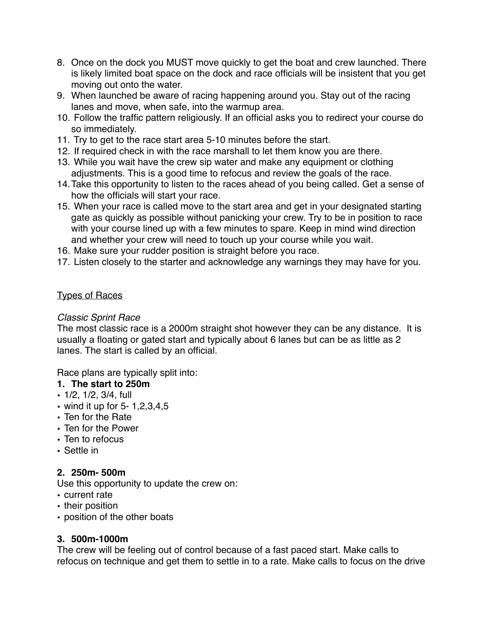- 8. Once on the dock you MUST move quickly to get the boat and crew launched. There is likely limited boat space on the dock and race officials will be insistent that you get moving out onto the water.
- 9. When launched be aware of racing happening around you. Stay out of the racing lanes and move, when safe, into the warmup area.
- 10. Follow the traffic pattern religiously. If an official asks you to redirect your course do so immediately.
- 11. Try to get to the race start area 5-10 minutes before the start.
- 12. If required check in with the race marshall to let them know you are there.
- 13. While you wait have the crew sip water and make any equipment or clothing adjustments. This is a good time to refocus and review the goals of the race.
- 14.Take this opportunity to listen to the races ahead of you being called. Get a sense of how the officials will start your race.
- 15. When your race is called move to the start area and get in your designated starting gate as quickly as possible without panicking your crew. Try to be in position to race with your course lined up with a few minutes to spare. Keep in mind wind direction and whether your crew will need to touch up your course while you wait.
- 16. Make sure your rudder position is straight before you race.
- 17. Listen closely to the starter and acknowledge any warnings they may have for you.

# Types of Races

### *Classic Sprint Race*

The most classic race is a 2000m straight shot however they can be any distance. It is usually a floating or gated start and typically about 6 lanes but can be as little as 2 lanes. The start is called by an official.

Race plans are typically split into:

### **1. The start to 250m**

- 1/2, 1/2, 3/4, full
- wind it up for 5- 1,2,3,4,5
- Ten for the Rate
- Ten for the Power
- Ten to refocus
- Settle in

# **2. 250m- 500m**

Use this opportunity to update the crew on:

- current rate
- their position
- position of the other boats

# **3. 500m-1000m**

The crew will be feeling out of control because of a fast paced start. Make calls to refocus on technique and get them to settle in to a rate. Make calls to focus on the drive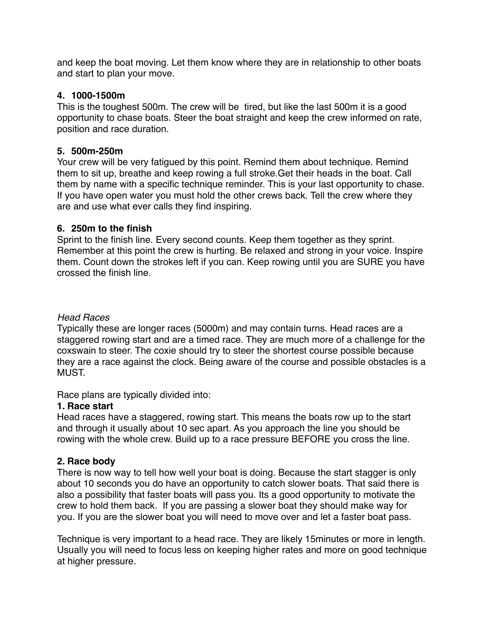and keep the boat moving. Let them know where they are in relationship to other boats and start to plan your move.

### **4. 1000-1500m**

This is the toughest 500m. The crew will be tired, but like the last 500m it is a good opportunity to chase boats. Steer the boat straight and keep the crew informed on rate, position and race duration.

### **5. 500m-250m**

Your crew will be very fatigued by this point. Remind them about technique. Remind them to sit up, breathe and keep rowing a full stroke.Get their heads in the boat. Call them by name with a specific technique reminder. This is your last opportunity to chase. If you have open water you must hold the other crews back. Tell the crew where they are and use what ever calls they find inspiring.

### **6. 250m to the finish**

Sprint to the finish line. Every second counts. Keep them together as they sprint. Remember at this point the crew is hurting. Be relaxed and strong in your voice. Inspire them. Count down the strokes left if you can. Keep rowing until you are SURE you have crossed the finish line.

### *Head Races*

Typically these are longer races (5000m) and may contain turns. Head races are a staggered rowing start and are a timed race. They are much more of a challenge for the coxswain to steer. The coxie should try to steer the shortest course possible because they are a race against the clock. Being aware of the course and possible obstacles is a MUST.

Race plans are typically divided into:

#### **1. Race start**

Head races have a staggered, rowing start. This means the boats row up to the start and through it usually about 10 sec apart. As you approach the line you should be rowing with the whole crew. Build up to a race pressure BEFORE you cross the line.

# **2. Race body**

There is now way to tell how well your boat is doing. Because the start stagger is only about 10 seconds you do have an opportunity to catch slower boats. That said there is also a possibility that faster boats will pass you. Its a good opportunity to motivate the crew to hold them back. If you are passing a slower boat they should make way for you. If you are the slower boat you will need to move over and let a faster boat pass.

Technique is very important to a head race. They are likely 15minutes or more in length. Usually you will need to focus less on keeping higher rates and more on good technique at higher pressure.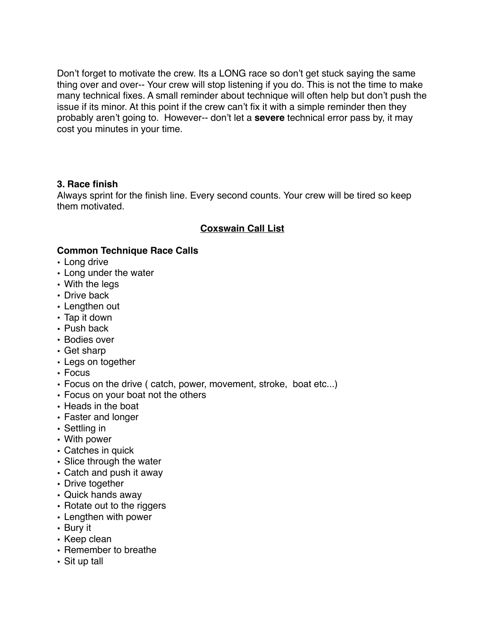Don't forget to motivate the crew. Its a LONG race so don't get stuck saying the same thing over and over-- Your crew will stop listening if you do. This is not the time to make many technical fixes. A small reminder about technique will often help but don't push the issue if its minor. At this point if the crew can't fix it with a simple reminder then they probably aren't going to. However-- don't let a **severe** technical error pass by, it may cost you minutes in your time.

### **3. Race finish**

Always sprint for the finish line. Every second counts. Your crew will be tired so keep them motivated.

# **Coxswain Call List**

# **Common Technique Race Calls**

- Long drive
- Long under the water
- With the legs
- Drive back
- Lengthen out
- Tap it down
- Push back
- Bodies over
- Get sharp
- Legs on together
- Focus
- Focus on the drive ( catch, power, movement, stroke, boat etc...)
- Focus on your boat not the others
- Heads in the boat
- Faster and longer
- Settling in
- With power
- Catches in quick
- Slice through the water
- Catch and push it away
- Drive together
- Quick hands away
- Rotate out to the riggers
- Lengthen with power
- Bury it
- Keep clean
- Remember to breathe
- Sit up tall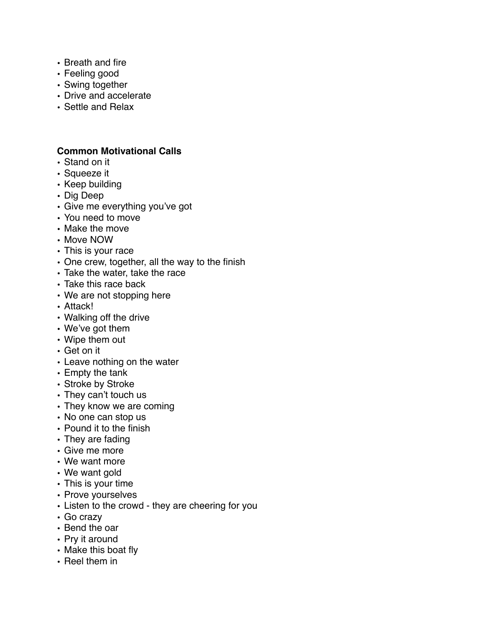- Breath and fire
- Feeling good
- Swing together
- Drive and accelerate
- Settle and Relax

#### **Common Motivational Calls**

- Stand on it
- Squeeze it
- Keep building
- Dig Deep
- Give me everything you've got
- You need to move
- Make the move
- Move NOW
- This is your race
- One crew, together, all the way to the finish
- Take the water, take the race
- Take this race back
- We are not stopping here
- Attack!
- Walking off the drive
- We've got them
- Wipe them out
- Get on it
- Leave nothing on the water
- Empty the tank
- Stroke by Stroke
- They can't touch us
- They know we are coming
- No one can stop us
- Pound it to the finish
- They are fading
- Give me more
- We want more
- We want gold
- This is your time
- Prove yourselves
- Listen to the crowd they are cheering for you
- Go crazy
- Bend the oar
- Pry it around
- Make this boat fly
- Reel them in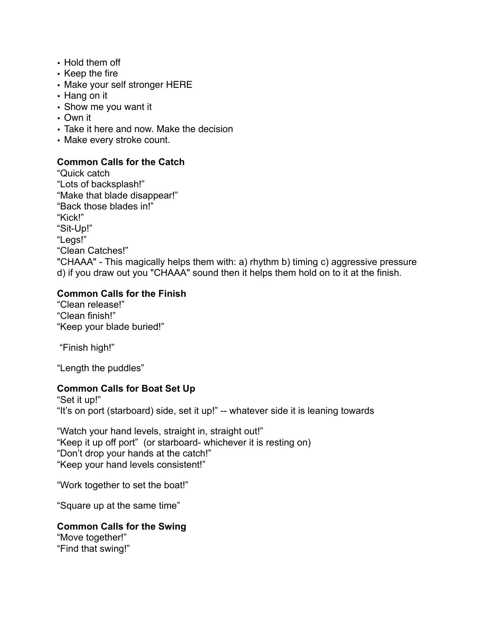- Hold them off
- Keep the fire
- Make your self stronger HERE
- Hang on it
- Show me you want it
- Own it
- Take it here and now. Make the decision
- Make every stroke count.

# **Common Calls for the Catch**

"Quick catch "Lots of backsplash!" "Make that blade disappear!" "Back those blades in!" "Kick!" "Sit-Up!" "Legs!" "Clean Catches!" "CHAAA" - This magically helps them with: a) rhythm b) timing c) aggressive pressure d) if you draw out you "CHAAA" sound then it helps them hold on to it at the finish.

# **Common Calls for the Finish**

"Clean release!" "Clean finish!" "Keep your blade buried!"

"Finish high!"

"Length the puddles"

# **Common Calls for Boat Set Up**

"Set it up!" "It's on port (starboard) side, set it up!" -- whatever side it is leaning towards

"Watch your hand levels, straight in, straight out!" "Keep it up off port" (or starboard- whichever it is resting on) "Don't drop your hands at the catch!" "Keep your hand levels consistent!"

"Work together to set the boat!"

"Square up at the same time"

# **Common Calls for the Swing**

"Move together!" "Find that swing!"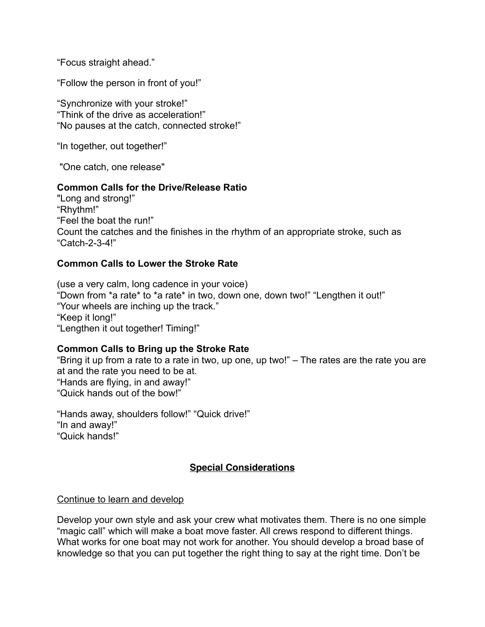"Focus straight ahead."

"Follow the person in front of you!"

"Synchronize with your stroke!" "Think of the drive as acceleration!" "No pauses at the catch, connected stroke!"

"In together, out together!"

"One catch, one release"

#### **Common Calls for the Drive/Release Ratio**

"Long and strong!" "Rhythm!" "Feel the boat the run!" Count the catches and the finishes in the rhythm of an appropriate stroke, such as "Catch-2-3-4!"

#### **Common Calls to Lower the Stroke Rate**

(use a very calm, long cadence in your voice) "Down from \*a rate\* to \*a rate\* in two, down one, down two!" "Lengthen it out!" "Your wheels are inching up the track." "Keep it long!" "Lengthen it out together! Timing!"

#### **Common Calls to Bring up the Stroke Rate**

"Bring it up from a rate to a rate in two, up one, up two!" – The rates are the rate you are at and the rate you need to be at. "Hands are flying, in and away!" "Quick hands out of the bow!"

"Hands away, shoulders follow!" "Quick drive!" "In and away!" "Quick hands!"

#### **Special Considerations**

#### Continue to learn and develop

Develop your own style and ask your crew what motivates them. There is no one simple "magic call" which will make a boat move faster. All crews respond to different things. What works for one boat may not work for another. You should develop a broad base of knowledge so that you can put together the right thing to say at the right time. Don't be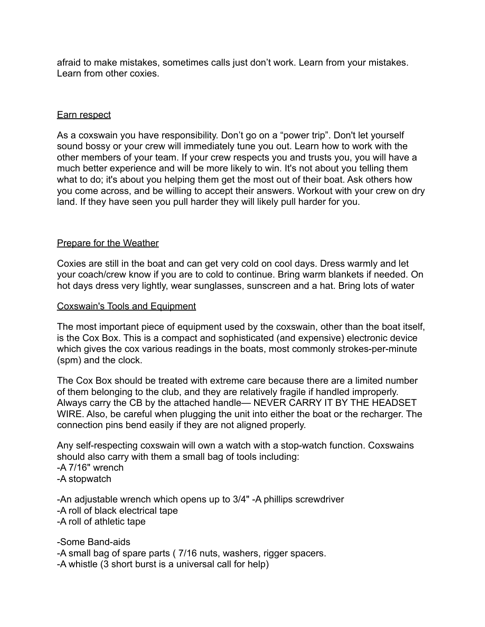afraid to make mistakes, sometimes calls just don't work. Learn from your mistakes. Learn from other coxies.

#### Earn respect

As a coxswain you have responsibility. Don't go on a "power trip". Don't let yourself sound bossy or your crew will immediately tune you out. Learn how to work with the other members of your team. If your crew respects you and trusts you, you will have a much better experience and will be more likely to win. It's not about you telling them what to do; it's about you helping them get the most out of their boat. Ask others how you come across, and be willing to accept their answers. Workout with your crew on dry land. If they have seen you pull harder they will likely pull harder for you.

#### Prepare for the Weather

Coxies are still in the boat and can get very cold on cool days. Dress warmly and let your coach/crew know if you are to cold to continue. Bring warm blankets if needed. On hot days dress very lightly, wear sunglasses, sunscreen and a hat. Bring lots of water

#### Coxswain's Tools and Equipment

The most important piece of equipment used by the coxswain, other than the boat itself, is the Cox Box. This is a compact and sophisticated (and expensive) electronic device which gives the cox various readings in the boats, most commonly strokes-per-minute (spm) and the clock.

The Cox Box should be treated with extreme care because there are a limited number of them belonging to the club, and they are relatively fragile if handled improperly. Always carry the CB by the attached handle— NEVER CARRY IT BY THE HEADSET WIRE. Also, be careful when plugging the unit into either the boat or the recharger. The connection pins bend easily if they are not aligned properly.

Any self-respecting coxswain will own a watch with a stop-watch function. Coxswains should also carry with them a small bag of tools including: -A 7/16" wrench -A stopwatch

-An adjustable wrench which opens up to 3/4" -A phillips screwdriver -A roll of black electrical tape -A roll of athletic tape

-Some Band-aids -A small bag of spare parts ( 7/16 nuts, washers, rigger spacers. -A whistle (3 short burst is a universal call for help)